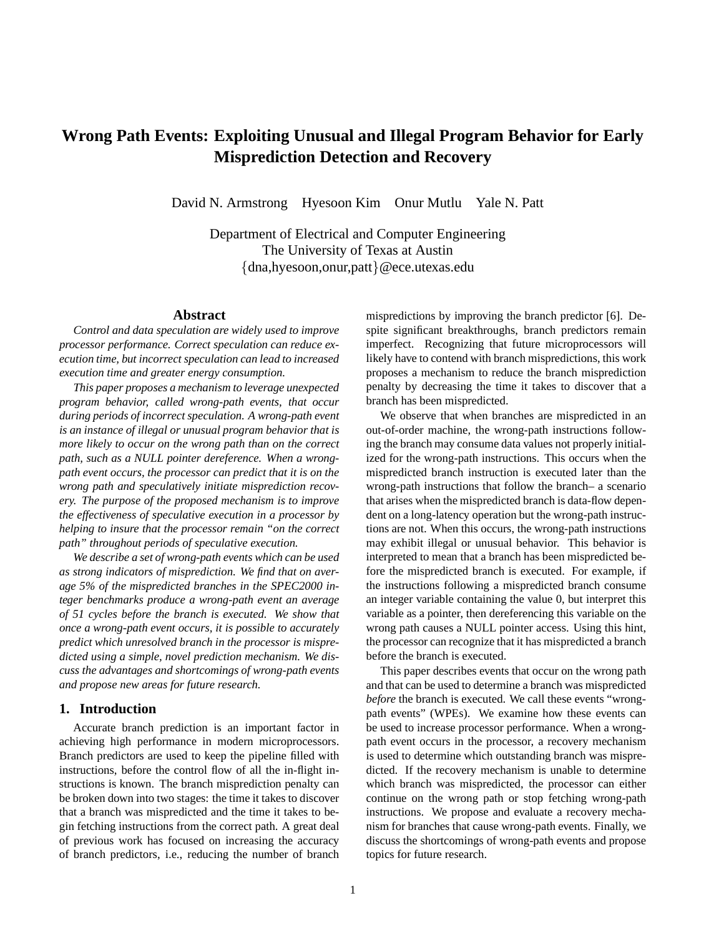# **Wrong Path Events: Exploiting Unusual and Illegal Program Behavior for Early Misprediction Detection and Recovery**

David N. Armstrong Hyesoon Kim Onur Mutlu Yale N. Patt

Department of Electrical and Computer Engineering The University of Texas at Austin {dna,hyesoon,onur,patt}@ece.utexas.edu

## **Abstract**

*Control and data speculation are widely used to improve processor performance. Correct speculation can reduce execution time, but incorrect speculation can lead to increased execution time and greater energy consumption.*

*This paper proposes a mechanism to leverage unexpected program behavior, called wrong-path events, that occur during periods of incorrect speculation. A wrong-path event is an instance of illegal or unusual program behavior that is more likely to occur on the wrong path than on the correct path, such as a NULL pointer dereference. When a wrongpath event occurs, the processor can predict that it is on the wrong path and speculatively initiate misprediction recovery. The purpose of the proposed mechanism is to improve the effectiveness of speculative execution in a processor by helping to insure that the processor remain "on the correct path" throughout periods of speculative execution.*

*We describe a set of wrong-path events which can be used as strong indicators of misprediction. We find that on average 5% of the mispredicted branches in the SPEC2000 integer benchmarks produce a wrong-path event an average of 51 cycles before the branch is executed. We show that once a wrong-path event occurs, it is possible to accurately predict which unresolved branch in the processor is mispredicted using a simple, novel prediction mechanism. We discuss the advantages and shortcomings of wrong-path events and propose new areas for future research.*

# **1. Introduction**

Accurate branch prediction is an important factor in achieving high performance in modern microprocessors. Branch predictors are used to keep the pipeline filled with instructions, before the control flow of all the in-flight instructions is known. The branch misprediction penalty can be broken down into two stages: the time it takes to discover that a branch was mispredicted and the time it takes to begin fetching instructions from the correct path. A great deal of previous work has focused on increasing the accuracy of branch predictors, i.e., reducing the number of branch mispredictions by improving the branch predictor [6]. Despite significant breakthroughs, branch predictors remain imperfect. Recognizing that future microprocessors will likely have to contend with branch mispredictions, this work proposes a mechanism to reduce the branch misprediction penalty by decreasing the time it takes to discover that a branch has been mispredicted.

We observe that when branches are mispredicted in an out-of-order machine, the wrong-path instructions following the branch may consume data values not properly initialized for the wrong-path instructions. This occurs when the mispredicted branch instruction is executed later than the wrong-path instructions that follow the branch– a scenario that arises when the mispredicted branch is data-flow dependent on a long-latency operation but the wrong-path instructions are not. When this occurs, the wrong-path instructions may exhibit illegal or unusual behavior. This behavior is interpreted to mean that a branch has been mispredicted before the mispredicted branch is executed. For example, if the instructions following a mispredicted branch consume an integer variable containing the value 0, but interpret this variable as a pointer, then dereferencing this variable on the wrong path causes a NULL pointer access. Using this hint, the processor can recognize that it has mispredicted a branch before the branch is executed.

This paper describes events that occur on the wrong path and that can be used to determine a branch was mispredicted *before* the branch is executed. We call these events "wrongpath events" (WPEs). We examine how these events can be used to increase processor performance. When a wrongpath event occurs in the processor, a recovery mechanism is used to determine which outstanding branch was mispredicted. If the recovery mechanism is unable to determine which branch was mispredicted, the processor can either continue on the wrong path or stop fetching wrong-path instructions. We propose and evaluate a recovery mechanism for branches that cause wrong-path events. Finally, we discuss the shortcomings of wrong-path events and propose topics for future research.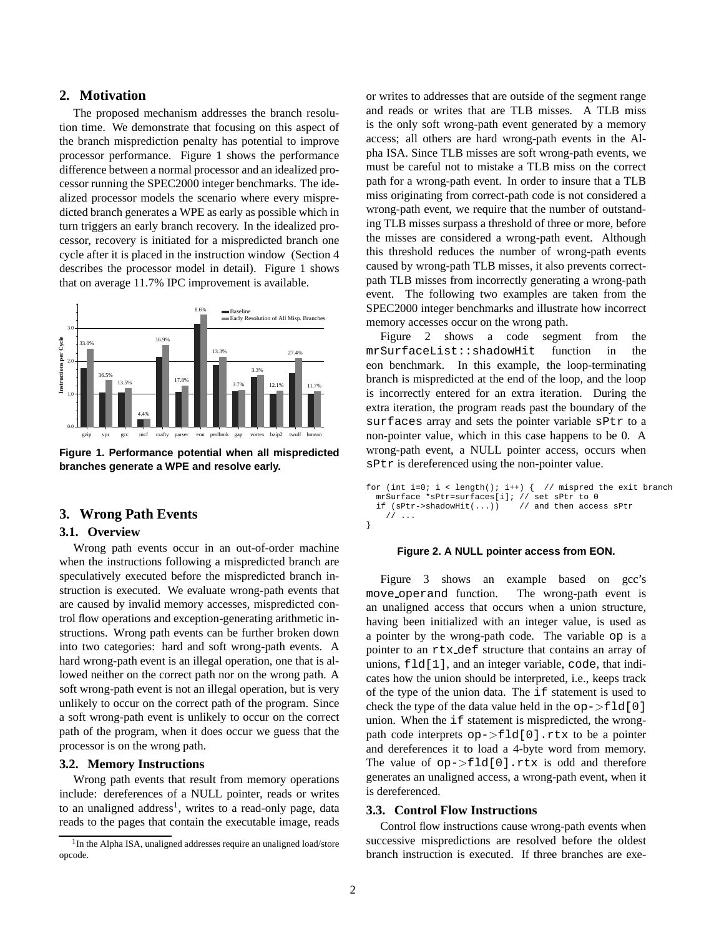# **2. Motivation**

The proposed mechanism addresses the branch resolution time. We demonstrate that focusing on this aspect of the branch misprediction penalty has potential to improve processor performance. Figure 1 shows the performance difference between a normal processor and an idealized processor running the SPEC2000 integer benchmarks. The idealized processor models the scenario where every mispredicted branch generates a WPE as early as possible which in turn triggers an early branch recovery. In the idealized processor, recovery is initiated for a mispredicted branch one cycle after it is placed in the instruction window (Section 4 describes the processor model in detail). Figure 1 shows that on average 11.7% IPC improvement is available.



**Figure 1. Performance potential when all mispredicted branches generate a WPE and resolve early.**

# **3. Wrong Path Events**

# **3.1. Overview**

Wrong path events occur in an out-of-order machine when the instructions following a mispredicted branch are speculatively executed before the mispredicted branch instruction is executed. We evaluate wrong-path events that are caused by invalid memory accesses, mispredicted control flow operations and exception-generating arithmetic instructions. Wrong path events can be further broken down into two categories: hard and soft wrong-path events. A hard wrong-path event is an illegal operation, one that is allowed neither on the correct path nor on the wrong path. A soft wrong-path event is not an illegal operation, but is very unlikely to occur on the correct path of the program. Since a soft wrong-path event is unlikely to occur on the correct path of the program, when it does occur we guess that the processor is on the wrong path.

## **3.2. Memory Instructions**

Wrong path events that result from memory operations include: dereferences of a NULL pointer, reads or writes to an unaligned address<sup>1</sup>, writes to a read-only page, data reads to the pages that contain the executable image, reads or writes to addresses that are outside of the segment range and reads or writes that are TLB misses. A TLB miss is the only soft wrong-path event generated by a memory access; all others are hard wrong-path events in the Alpha ISA. Since TLB misses are soft wrong-path events, we must be careful not to mistake a TLB miss on the correct path for a wrong-path event. In order to insure that a TLB miss originating from correct-path code is not considered a wrong-path event, we require that the number of outstanding TLB misses surpass a threshold of three or more, before the misses are considered a wrong-path event. Although this threshold reduces the number of wrong-path events caused by wrong-path TLB misses, it also prevents correctpath TLB misses from incorrectly generating a wrong-path event. The following two examples are taken from the SPEC2000 integer benchmarks and illustrate how incorrect memory accesses occur on the wrong path.

Figure 2 shows a code segment from the mrSurfaceList::shadowHit function in the eon benchmark. In this example, the loop-terminating branch is mispredicted at the end of the loop, and the loop is incorrectly entered for an extra iteration. During the extra iteration, the program reads past the boundary of the surfaces array and sets the pointer variable sPtr to a non-pointer value, which in this case happens to be 0. A wrong-path event, a NULL pointer access, occurs when sPtr is dereferenced using the non-pointer value.

for (int i=0; i < length(); i++) { // mispred the exit branch mrSurface \*sPtr=surfaces[i]; // set sPtr to 0<br>if  $(sPtr-sshadowHit(\dots))$  // and then acces  $\frac{1}{2}$  and then access sPtr // ... }

#### **Figure 2. A NULL pointer access from EON.**

Figure 3 shows an example based on gcc's move operand function. The wrong-path event is an unaligned access that occurs when a union structure, having been initialized with an integer value, is used as a pointer by the wrong-path code. The variable op is a pointer to an rtx def structure that contains an array of unions, fld[1], and an integer variable, code, that indicates how the union should be interpreted, i.e., keeps track of the type of the union data. The if statement is used to check the type of the data value held in the  $op->fld[0]$ union. When the if statement is mispredicted, the wrongpath code interprets op->fld[0].rtx to be a pointer and dereferences it to load a 4-byte word from memory. The value of  $op->fld[0]$ .rtx is odd and therefore generates an unaligned access, a wrong-path event, when it is dereferenced.

#### **3.3. Control Flow Instructions**

Control flow instructions cause wrong-path events when successive mispredictions are resolved before the oldest branch instruction is executed. If three branches are exe-

<sup>&</sup>lt;sup>1</sup> In the Alpha ISA, unaligned addresses require an unaligned load/store opcode.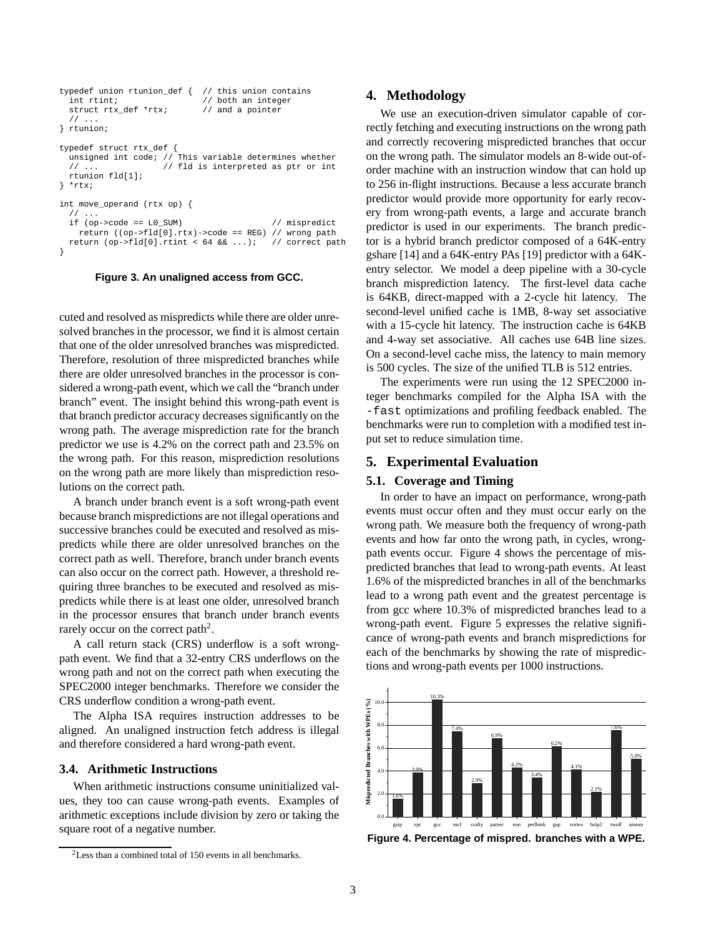```
typedef union rtunion_def { // this union contains
 int rtint; // both an integer
 struct rtx_def *rtx; // and a pointer
 // ...
} rtunion;
typedef struct rtx_def {
 unsigned int code; // This variable determines whether
 // ... // fld is interpreted as ptr or int
 rtunion fld[1];
\} *rtx;
int move_operand (rtx op) {
  // ...
 if (op->code == L0_SUM) // mispredict
   return ((op->fld[0].rtx)->code == REG) // wrong path
 return (op->fld[0].rtint < 64 && ...); // correct path
}
```
#### **Figure 3. An unaligned access from GCC.**

cuted and resolved as mispredicts while there are older unresolved branches in the processor, we find it is almost certain that one of the older unresolved branches was mispredicted. Therefore, resolution of three mispredicted branches while there are older unresolved branches in the processor is considered a wrong-path event, which we call the "branch under branch" event. The insight behind this wrong-path event is that branch predictor accuracy decreases significantly on the wrong path. The average misprediction rate for the branch predictor we use is 4.2% on the correct path and 23.5% on the wrong path. For this reason, misprediction resolutions on the wrong path are more likely than misprediction resolutions on the correct path.

A branch under branch event is a soft wrong-path event because branch mispredictions are not illegal operations and successive branches could be executed and resolved as mispredicts while there are older unresolved branches on the correct path as well. Therefore, branch under branch events can also occur on the correct path. However, a threshold requiring three branches to be executed and resolved as mispredicts while there is at least one older, unresolved branch in the processor ensures that branch under branch events rarely occur on the correct path<sup>2</sup>.

A call return stack (CRS) underflow is a soft wrongpath event. We find that a 32-entry CRS underflows on the wrong path and not on the correct path when executing the SPEC2000 integer benchmarks. Therefore we consider the CRS underflow condition a wrong-path event.

The Alpha ISA requires instruction addresses to be aligned. An unaligned instruction fetch address is illegal and therefore considered a hard wrong-path event.

#### **3.4. Arithmetic Instructions**

When arithmetic instructions consume uninitialized values, they too can cause wrong-path events. Examples of arithmetic exceptions include division by zero or taking the square root of a negative number.

## **4. Methodology**

We use an execution-driven simulator capable of correctly fetching and executing instructions on the wrong path and correctly recovering mispredicted branches that occur on the wrong path. The simulator models an 8-wide out-oforder machine with an instruction window that can hold up to 256 in-flight instructions. Because a less accurate branch predictor would provide more opportunity for early recovery from wrong-path events, a large and accurate branch predictor is used in our experiments. The branch predictor is a hybrid branch predictor composed of a 64K-entry gshare [14] and a 64K-entry PAs [19] predictor with a 64Kentry selector. We model a deep pipeline with a 30-cycle branch misprediction latency. The first-level data cache is 64KB, direct-mapped with a 2-cycle hit latency. The second-level unified cache is 1MB, 8-way set associative with a 15-cycle hit latency. The instruction cache is 64KB and 4-way set associative. All caches use 64B line sizes. On a second-level cache miss, the latency to main memory is 500 cycles. The size of the unified TLB is 512 entries.

The experiments were run using the 12 SPEC2000 integer benchmarks compiled for the Alpha ISA with the -fast optimizations and profiling feedback enabled. The benchmarks were run to completion with a modified test input set to reduce simulation time.

# **5. Experimental Evaluation**

## **5.1. Coverage and Timing**

In order to have an impact on performance, wrong-path events must occur often and they must occur early on the wrong path. We measure both the frequency of wrong-path events and how far onto the wrong path, in cycles, wrongpath events occur. Figure 4 shows the percentage of mispredicted branches that lead to wrong-path events. At least 1.6% of the mispredicted branches in all of the benchmarks lead to a wrong path event and the greatest percentage is from gcc where 10.3% of mispredicted branches lead to a wrong-path event. Figure 5 expresses the relative significance of wrong-path events and branch mispredictions for each of the benchmarks by showing the rate of mispredictions and wrong-path events per 1000 instructions.



**Figure 4. Percentage of mispred. branches with a WPE.**

<sup>&</sup>lt;sup>2</sup> Less than a combined total of 150 events in all benchmarks.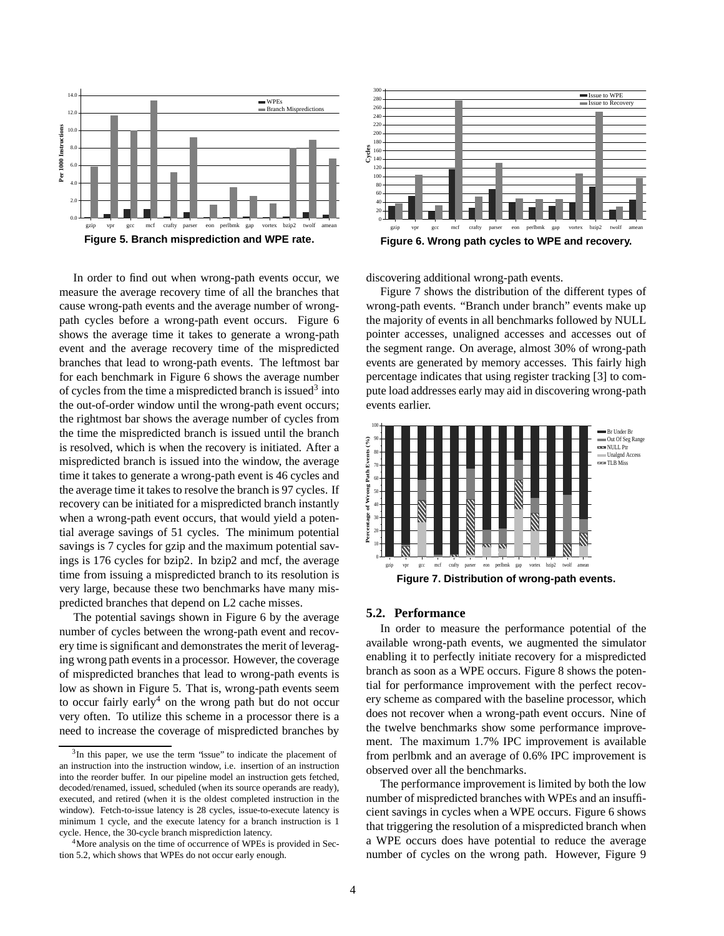

In order to find out when wrong-path events occur, we measure the average recovery time of all the branches that cause wrong-path events and the average number of wrongpath cycles before a wrong-path event occurs. Figure 6 shows the average time it takes to generate a wrong-path event and the average recovery time of the mispredicted branches that lead to wrong-path events. The leftmost bar for each benchmark in Figure 6 shows the average number of cycles from the time a mispredicted branch is issued $3$  into the out-of-order window until the wrong-path event occurs; the rightmost bar shows the average number of cycles from the time the mispredicted branch is issued until the branch is resolved, which is when the recovery is initiated. After a mispredicted branch is issued into the window, the average time it takes to generate a wrong-path event is 46 cycles and the average time it takes to resolve the branch is 97 cycles. If recovery can be initiated for a mispredicted branch instantly when a wrong-path event occurs, that would yield a potential average savings of 51 cycles. The minimum potential savings is 7 cycles for gzip and the maximum potential savings is 176 cycles for bzip2. In bzip2 and mcf, the average time from issuing a mispredicted branch to its resolution is very large, because these two benchmarks have many mispredicted branches that depend on L2 cache misses.

The potential savings shown in Figure 6 by the average number of cycles between the wrong-path event and recovery time is significant and demonstrates the merit of leveraging wrong path events in a processor. However, the coverage of mispredicted branches that lead to wrong-path events is low as shown in Figure 5. That is, wrong-path events seem to occur fairly early<sup>4</sup> on the wrong path but do not occur very often. To utilize this scheme in a processor there is a need to increase the coverage of mispredicted branches by



discovering additional wrong-path events.

Figure 7 shows the distribution of the different types of wrong-path events. "Branch under branch" events make up the majority of events in all benchmarks followed by NULL pointer accesses, unaligned accesses and accesses out of the segment range. On average, almost 30% of wrong-path events are generated by memory accesses. This fairly high percentage indicates that using register tracking [3] to compute load addresses early may aid in discovering wrong-path events earlier.



#### **5.2. Performance**

In order to measure the performance potential of the available wrong-path events, we augmented the simulator enabling it to perfectly initiate recovery for a mispredicted branch as soon as a WPE occurs. Figure 8 shows the potential for performance improvement with the perfect recovery scheme as compared with the baseline processor, which does not recover when a wrong-path event occurs. Nine of the twelve benchmarks show some performance improvement. The maximum 1.7% IPC improvement is available from perlbmk and an average of 0.6% IPC improvement is observed over all the benchmarks.

The performance improvement is limited by both the low number of mispredicted branches with WPEs and an insufficient savings in cycles when a WPE occurs. Figure 6 shows that triggering the resolution of a mispredicted branch when a WPE occurs does have potential to reduce the average number of cycles on the wrong path. However, Figure 9

<sup>&</sup>lt;sup>3</sup>In this paper, we use the term 'issue" to indicate the placement of an instruction into the instruction window, i.e. insertion of an instruction into the reorder buffer. In our pipeline model an instruction gets fetched, decoded/renamed, issued, scheduled (when its source operands are ready), executed, and retired (when it is the oldest completed instruction in the window). Fetch-to-issue latency is 28 cycles, issue-to-execute latency is minimum 1 cycle, and the execute latency for a branch instruction is 1 cycle. Hence, the 30-cycle branch misprediction latency.

<sup>&</sup>lt;sup>4</sup>More analysis on the time of occurrence of WPEs is provided in Section 5.2, which shows that WPEs do not occur early enough.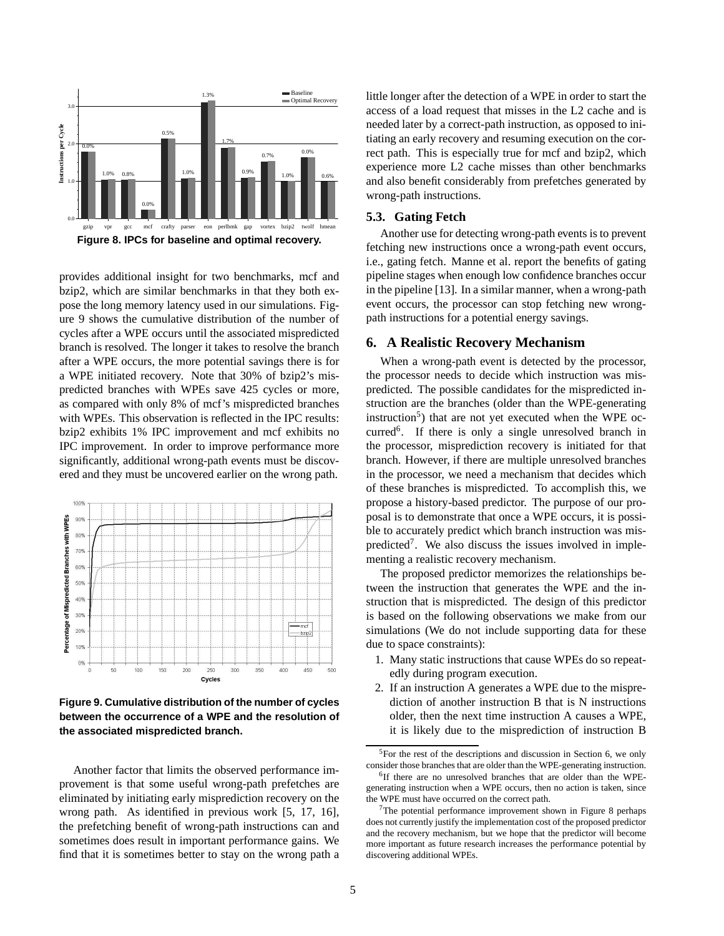

provides additional insight for two benchmarks, mcf and bzip2, which are similar benchmarks in that they both expose the long memory latency used in our simulations. Figure 9 shows the cumulative distribution of the number of cycles after a WPE occurs until the associated mispredicted branch is resolved. The longer it takes to resolve the branch after a WPE occurs, the more potential savings there is for a WPE initiated recovery. Note that 30% of bzip2's mispredicted branches with WPEs save 425 cycles or more, as compared with only 8% of mcf's mispredicted branches with WPEs. This observation is reflected in the IPC results: bzip2 exhibits 1% IPC improvement and mcf exhibits no IPC improvement. In order to improve performance more significantly, additional wrong-path events must be discovered and they must be uncovered earlier on the wrong path.



**Figure 9. Cumulative distribution of the number of cycles between the occurrence of a WPE and the resolution of the associated mispredicted branch.**

Another factor that limits the observed performance improvement is that some useful wrong-path prefetches are eliminated by initiating early misprediction recovery on the wrong path. As identified in previous work [5, 17, 16], the prefetching benefit of wrong-path instructions can and sometimes does result in important performance gains. We find that it is sometimes better to stay on the wrong path a little longer after the detection of a WPE in order to start the access of a load request that misses in the L2 cache and is needed later by a correct-path instruction, as opposed to initiating an early recovery and resuming execution on the correct path. This is especially true for mcf and bzip2, which experience more L2 cache misses than other benchmarks and also benefit considerably from prefetches generated by wrong-path instructions.

# **5.3. Gating Fetch**

Another use for detecting wrong-path events is to prevent fetching new instructions once a wrong-path event occurs, i.e., gating fetch. Manne et al. report the benefits of gating pipeline stages when enough low confidence branches occur in the pipeline [13]. In a similar manner, when a wrong-path event occurs, the processor can stop fetching new wrongpath instructions for a potential energy savings.

# **6. A Realistic Recovery Mechanism**

When a wrong-path event is detected by the processor, the processor needs to decide which instruction was mispredicted. The possible candidates for the mispredicted instruction are the branches (older than the WPE-generating instruction<sup>5</sup>) that are not yet executed when the WPE occurred<sup>6</sup>. If there is only a single unresolved branch in the processor, misprediction recovery is initiated for that branch. However, if there are multiple unresolved branches in the processor, we need a mechanism that decides which of these branches is mispredicted. To accomplish this, we propose a history-based predictor. The purpose of our proposal is to demonstrate that once a WPE occurs, it is possible to accurately predict which branch instruction was mispredicted<sup>7</sup>. We also discuss the issues involved in implementing a realistic recovery mechanism.

The proposed predictor memorizes the relationships between the instruction that generates the WPE and the instruction that is mispredicted. The design of this predictor is based on the following observations we make from our simulations (We do not include supporting data for these due to space constraints):

- 1. Many static instructions that cause WPEs do so repeatedly during program execution.
- 2. If an instruction A generates a WPE due to the misprediction of another instruction B that is N instructions older, then the next time instruction A causes a WPE, it is likely due to the misprediction of instruction B

<sup>5</sup>For the rest of the descriptions and discussion in Section 6, we only consider those branches that are older than the WPE-generating instruction.

<sup>6</sup> If there are no unresolved branches that are older than the WPEgenerating instruction when a WPE occurs, then no action is taken, since the WPE must have occurred on the correct path.

 $7$ The potential performance improvement shown in Figure 8 perhaps does not currently justify the implementation cost of the proposed predictor and the recovery mechanism, but we hope that the predictor will become more important as future research increases the performance potential by discovering additional WPEs.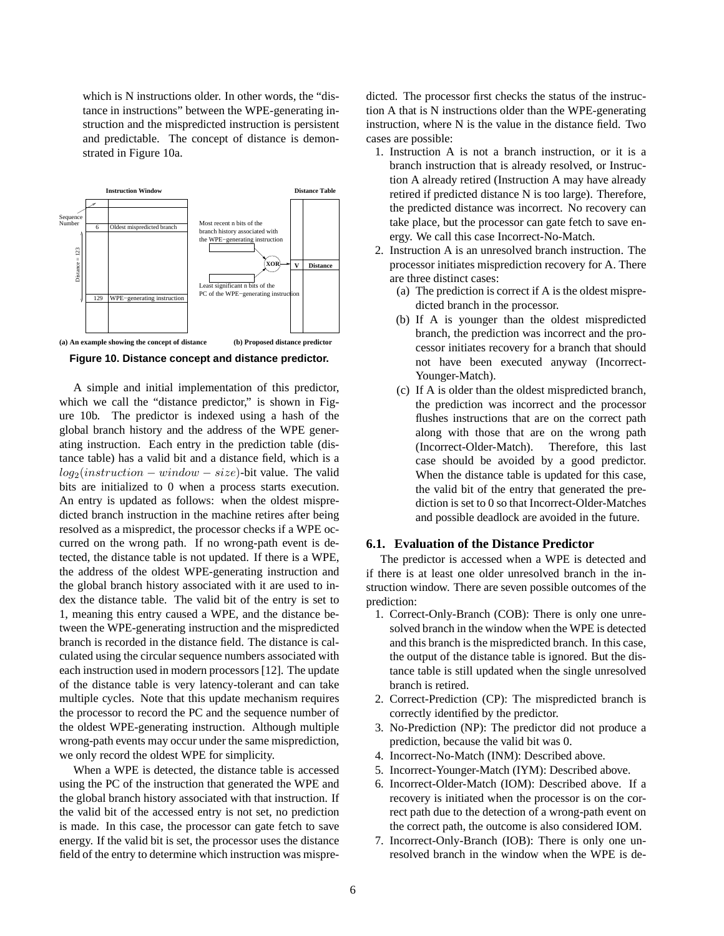which is N instructions older. In other words, the "distance in instructions" between the WPE-generating instruction and the mispredicted instruction is persistent and predictable. The concept of distance is demonstrated in Figure 10a.





A simple and initial implementation of this predictor, which we call the "distance predictor," is shown in Figure 10b. The predictor is indexed using a hash of the global branch history and the address of the WPE generating instruction. Each entry in the prediction table (distance table) has a valid bit and a distance field, which is a  $log_2(instruction - window - size)$ -bit value. The valid bits are initialized to 0 when a process starts execution. An entry is updated as follows: when the oldest mispredicted branch instruction in the machine retires after being resolved as a mispredict, the processor checks if a WPE occurred on the wrong path. If no wrong-path event is detected, the distance table is not updated. If there is a WPE, the address of the oldest WPE-generating instruction and the global branch history associated with it are used to index the distance table. The valid bit of the entry is set to 1, meaning this entry caused a WPE, and the distance between the WPE-generating instruction and the mispredicted branch is recorded in the distance field. The distance is calculated using the circular sequence numbers associated with each instruction used in modern processors [12]. The update of the distance table is very latency-tolerant and can take multiple cycles. Note that this update mechanism requires the processor to record the PC and the sequence number of the oldest WPE-generating instruction. Although multiple wrong-path events may occur under the same misprediction, we only record the oldest WPE for simplicity.

When a WPE is detected, the distance table is accessed using the PC of the instruction that generated the WPE and the global branch history associated with that instruction. If the valid bit of the accessed entry is not set, no prediction is made. In this case, the processor can gate fetch to save energy. If the valid bit is set, the processor uses the distance field of the entry to determine which instruction was mispredicted. The processor first checks the status of the instruction A that is N instructions older than the WPE-generating instruction, where N is the value in the distance field. Two cases are possible:

- 1. Instruction A is not a branch instruction, or it is a branch instruction that is already resolved, or Instruction A already retired (Instruction A may have already retired if predicted distance N is too large). Therefore, the predicted distance was incorrect. No recovery can take place, but the processor can gate fetch to save energy. We call this case Incorrect-No-Match.
- 2. Instruction A is an unresolved branch instruction. The processor initiates misprediction recovery for A. There are three distinct cases:
	- (a) The prediction is correct if A is the oldest mispredicted branch in the processor.
	- (b) If A is younger than the oldest mispredicted branch, the prediction was incorrect and the processor initiates recovery for a branch that should not have been executed anyway (Incorrect-Younger-Match).
	- (c) If A is older than the oldest mispredicted branch, the prediction was incorrect and the processor flushes instructions that are on the correct path along with those that are on the wrong path (Incorrect-Older-Match). Therefore, this last case should be avoided by a good predictor. When the distance table is updated for this case, the valid bit of the entry that generated the prediction is set to 0 so that Incorrect-Older-Matches and possible deadlock are avoided in the future.

#### **6.1. Evaluation of the Distance Predictor**

The predictor is accessed when a WPE is detected and if there is at least one older unresolved branch in the instruction window. There are seven possible outcomes of the prediction:

- 1. Correct-Only-Branch (COB): There is only one unresolved branch in the window when the WPE is detected and this branch is the mispredicted branch. In this case, the output of the distance table is ignored. But the distance table is still updated when the single unresolved branch is retired.
- 2. Correct-Prediction (CP): The mispredicted branch is correctly identified by the predictor.
- 3. No-Prediction (NP): The predictor did not produce a prediction, because the valid bit was 0.
- 4. Incorrect-No-Match (INM): Described above.
- 5. Incorrect-Younger-Match (IYM): Described above.
- 6. Incorrect-Older-Match (IOM): Described above. If a recovery is initiated when the processor is on the correct path due to the detection of a wrong-path event on the correct path, the outcome is also considered IOM.
- 7. Incorrect-Only-Branch (IOB): There is only one unresolved branch in the window when the WPE is de-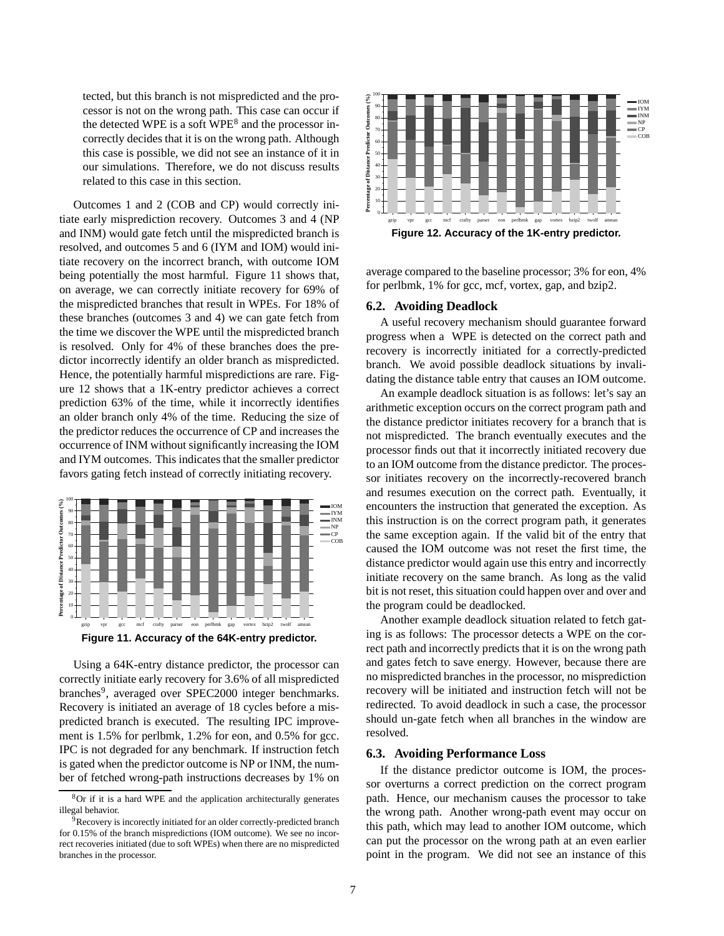tected, but this branch is not mispredicted and the processor is not on the wrong path. This case can occur if the detected WPE is a soft WPE $^8$  and the processor incorrectly decides that it is on the wrong path. Although this case is possible, we did not see an instance of it in our simulations. Therefore, we do not discuss results related to this case in this section.

Outcomes 1 and 2 (COB and CP) would correctly initiate early misprediction recovery. Outcomes 3 and 4 (NP and INM) would gate fetch until the mispredicted branch is resolved, and outcomes 5 and 6 (IYM and IOM) would initiate recovery on the incorrect branch, with outcome IOM being potentially the most harmful. Figure 11 shows that, on average, we can correctly initiate recovery for 69% of the mispredicted branches that result in WPEs. For 18% of these branches (outcomes 3 and 4) we can gate fetch from the time we discover the WPE until the mispredicted branch is resolved. Only for 4% of these branches does the predictor incorrectly identify an older branch as mispredicted. Hence, the potentially harmful mispredictions are rare. Figure 12 shows that a 1K-entry predictor achieves a correct prediction 63% of the time, while it incorrectly identifies an older branch only 4% of the time. Reducing the size of the predictor reduces the occurrence of CP and increases the occurrence of INM without significantly increasing the IOM and IYM outcomes. This indicates that the smaller predictor favors gating fetch instead of correctly initiating recovery.



Using a 64K-entry distance predictor, the processor can correctly initiate early recovery for 3.6% of all mispredicted branches 9 , averaged over SPEC2000 integer benchmarks. Recovery is initiated an average of 18 cycles before a mispredicted branch is executed. The resulting IPC improvement is 1.5% for perlbmk, 1.2% for eon, and 0.5% for gcc. IPC is not degraded for any benchmark. If instruction fetch is gated when the predictor outcome is NP or INM, the number of fetched wrong-path instructions decreases by 1% on



average compared to the baseline processor; 3% for eon, 4% for perlbmk, 1% for gcc, mcf, vortex, gap, and bzip2.

## **6.2. Avoiding Deadlock**

A useful recovery mechanism should guarantee forward progress when a WPE is detected on the correct path and recovery is incorrectly initiated for a correctly-predicted branch. We avoid possible deadlock situations by invalidating the distance table entry that causes an IOM outcome.

An example deadlock situation is as follows: let's say an arithmetic exception occurs on the correct program path and the distance predictor initiates recovery for a branch that is not mispredicted. The branch eventually executes and the processor finds out that it incorrectly initiated recovery due to an IOM outcome from the distance predictor. The processor initiates recovery on the incorrectly-recovered branch and resumes execution on the correct path. Eventually, it encounters the instruction that generated the exception. As this instruction is on the correct program path, it generates the same exception again. If the valid bit of the entry that caused the IOM outcome was not reset the first time, the distance predictor would again use this entry and incorrectly initiate recovery on the same branch. As long as the valid bit is not reset, this situation could happen over and over and the program could be deadlocked.

Another example deadlock situation related to fetch gating is as follows: The processor detects a WPE on the correct path and incorrectly predicts that it is on the wrong path and gates fetch to save energy. However, because there are no mispredicted branches in the processor, no misprediction recovery will be initiated and instruction fetch will not be redirected. To avoid deadlock in such a case, the processor should un-gate fetch when all branches in the window are resolved.

## **6.3. Avoiding Performance Loss**

If the distance predictor outcome is IOM, the processor overturns a correct prediction on the correct program path. Hence, our mechanism causes the processor to take the wrong path. Another wrong-path event may occur on this path, which may lead to another IOM outcome, which can put the processor on the wrong path at an even earlier point in the program. We did not see an instance of this

<sup>8</sup>Or if it is a hard WPE and the application architecturally generates illegal behavior.

<sup>&</sup>lt;sup>9</sup>Recovery is incorectly initiated for an older correctly-predicted branch for 0.15% of the branch mispredictions (IOM outcome). We see no incorrect recoveries initiated (due to soft WPEs) when there are no mispredicted branches in the processor.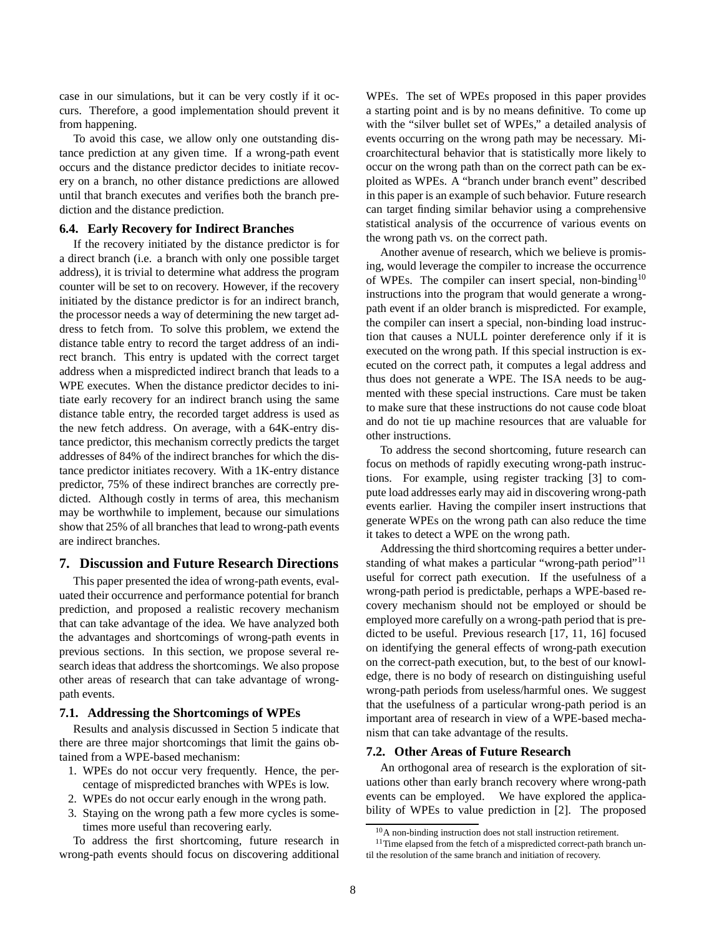case in our simulations, but it can be very costly if it occurs. Therefore, a good implementation should prevent it from happening.

To avoid this case, we allow only one outstanding distance prediction at any given time. If a wrong-path event occurs and the distance predictor decides to initiate recovery on a branch, no other distance predictions are allowed until that branch executes and verifies both the branch prediction and the distance prediction.

#### **6.4. Early Recovery for Indirect Branches**

If the recovery initiated by the distance predictor is for a direct branch (i.e. a branch with only one possible target address), it is trivial to determine what address the program counter will be set to on recovery. However, if the recovery initiated by the distance predictor is for an indirect branch, the processor needs a way of determining the new target address to fetch from. To solve this problem, we extend the distance table entry to record the target address of an indirect branch. This entry is updated with the correct target address when a mispredicted indirect branch that leads to a WPE executes. When the distance predictor decides to initiate early recovery for an indirect branch using the same distance table entry, the recorded target address is used as the new fetch address. On average, with a 64K-entry distance predictor, this mechanism correctly predicts the target addresses of 84% of the indirect branches for which the distance predictor initiates recovery. With a 1K-entry distance predictor, 75% of these indirect branches are correctly predicted. Although costly in terms of area, this mechanism may be worthwhile to implement, because our simulations show that 25% of all branches that lead to wrong-path events are indirect branches.

# **7. Discussion and Future Research Directions**

This paper presented the idea of wrong-path events, evaluated their occurrence and performance potential for branch prediction, and proposed a realistic recovery mechanism that can take advantage of the idea. We have analyzed both the advantages and shortcomings of wrong-path events in previous sections. In this section, we propose several research ideas that address the shortcomings. We also propose other areas of research that can take advantage of wrongpath events.

#### **7.1. Addressing the Shortcomings of WPEs**

Results and analysis discussed in Section 5 indicate that there are three major shortcomings that limit the gains obtained from a WPE-based mechanism:

- 1. WPEs do not occur very frequently. Hence, the percentage of mispredicted branches with WPEs is low.
- 2. WPEs do not occur early enough in the wrong path.
- 3. Staying on the wrong path a few more cycles is sometimes more useful than recovering early.

To address the first shortcoming, future research in wrong-path events should focus on discovering additional

WPEs. The set of WPEs proposed in this paper provides a starting point and is by no means definitive. To come up with the "silver bullet set of WPEs," a detailed analysis of events occurring on the wrong path may be necessary. Microarchitectural behavior that is statistically more likely to occur on the wrong path than on the correct path can be exploited as WPEs. A "branch under branch event" described in this paper is an example of such behavior. Future research can target finding similar behavior using a comprehensive statistical analysis of the occurrence of various events on the wrong path vs. on the correct path.

Another avenue of research, which we believe is promising, would leverage the compiler to increase the occurrence of WPEs. The compiler can insert special, non-binding<sup>10</sup> instructions into the program that would generate a wrongpath event if an older branch is mispredicted. For example, the compiler can insert a special, non-binding load instruction that causes a NULL pointer dereference only if it is executed on the wrong path. If this special instruction is executed on the correct path, it computes a legal address and thus does not generate a WPE. The ISA needs to be augmented with these special instructions. Care must be taken to make sure that these instructions do not cause code bloat and do not tie up machine resources that are valuable for other instructions.

To address the second shortcoming, future research can focus on methods of rapidly executing wrong-path instructions. For example, using register tracking [3] to compute load addresses early may aid in discovering wrong-path events earlier. Having the compiler insert instructions that generate WPEs on the wrong path can also reduce the time it takes to detect a WPE on the wrong path.

Addressing the third shortcoming requires a better understanding of what makes a particular "wrong-path period"<sup>11</sup> useful for correct path execution. If the usefulness of a wrong-path period is predictable, perhaps a WPE-based recovery mechanism should not be employed or should be employed more carefully on a wrong-path period that is predicted to be useful. Previous research [17, 11, 16] focused on identifying the general effects of wrong-path execution on the correct-path execution, but, to the best of our knowledge, there is no body of research on distinguishing useful wrong-path periods from useless/harmful ones. We suggest that the usefulness of a particular wrong-path period is an important area of research in view of a WPE-based mechanism that can take advantage of the results.

#### **7.2. Other Areas of Future Research**

An orthogonal area of research is the exploration of situations other than early branch recovery where wrong-path events can be employed. We have explored the applicability of WPEs to value prediction in [2]. The proposed

<sup>10</sup>A non-binding instruction does not stall instruction retirement.

<sup>&</sup>lt;sup>11</sup>Time elapsed from the fetch of a mispredicted correct-path branch until the resolution of the same branch and initiation of recovery.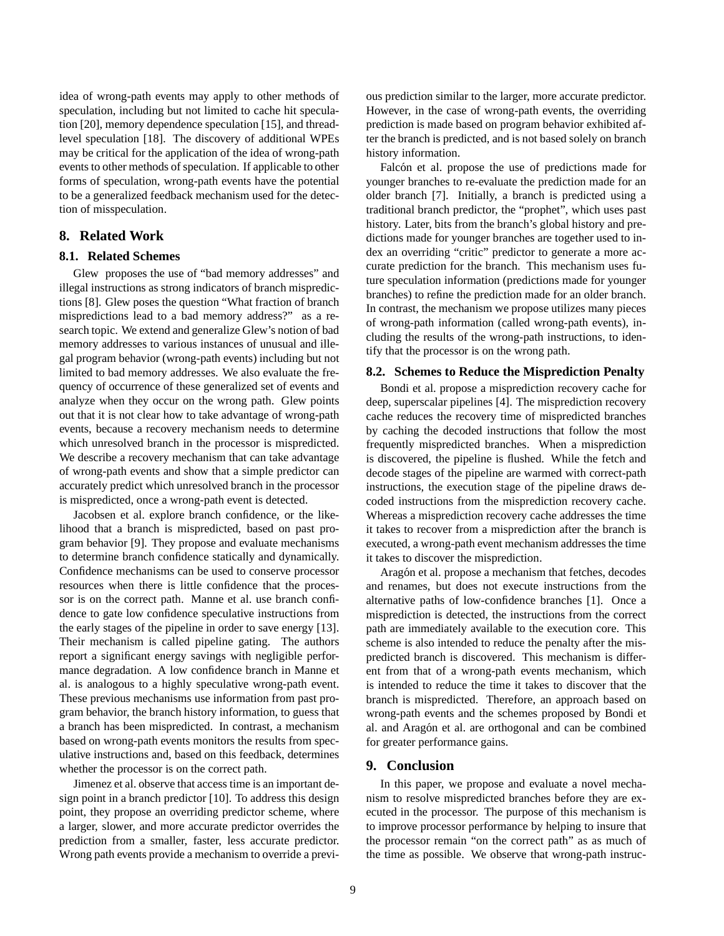idea of wrong-path events may apply to other methods of speculation, including but not limited to cache hit speculation [20], memory dependence speculation [15], and threadlevel speculation [18]. The discovery of additional WPEs may be critical for the application of the idea of wrong-path events to other methods of speculation. If applicable to other forms of speculation, wrong-path events have the potential to be a generalized feedback mechanism used for the detection of misspeculation.

# **8. Related Work**

## **8.1. Related Schemes**

Glew proposes the use of "bad memory addresses" and illegal instructions as strong indicators of branch mispredictions [8]. Glew poses the question "What fraction of branch mispredictions lead to a bad memory address?" as a research topic. We extend and generalize Glew's notion of bad memory addresses to various instances of unusual and illegal program behavior (wrong-path events) including but not limited to bad memory addresses. We also evaluate the frequency of occurrence of these generalized set of events and analyze when they occur on the wrong path. Glew points out that it is not clear how to take advantage of wrong-path events, because a recovery mechanism needs to determine which unresolved branch in the processor is mispredicted. We describe a recovery mechanism that can take advantage of wrong-path events and show that a simple predictor can accurately predict which unresolved branch in the processor is mispredicted, once a wrong-path event is detected.

Jacobsen et al. explore branch confidence, or the likelihood that a branch is mispredicted, based on past program behavior [9]. They propose and evaluate mechanisms to determine branch confidence statically and dynamically. Confidence mechanisms can be used to conserve processor resources when there is little confidence that the processor is on the correct path. Manne et al. use branch confidence to gate low confidence speculative instructions from the early stages of the pipeline in order to save energy [13]. Their mechanism is called pipeline gating. The authors report a significant energy savings with negligible performance degradation. A low confidence branch in Manne et al. is analogous to a highly speculative wrong-path event. These previous mechanisms use information from past program behavior, the branch history information, to guess that a branch has been mispredicted. In contrast, a mechanism based on wrong-path events monitors the results from speculative instructions and, based on this feedback, determines whether the processor is on the correct path.

Jimenez et al. observe that access time is an important design point in a branch predictor [10]. To address this design point, they propose an overriding predictor scheme, where a larger, slower, and more accurate predictor overrides the prediction from a smaller, faster, less accurate predictor. Wrong path events provide a mechanism to override a previous prediction similar to the larger, more accurate predictor. However, in the case of wrong-path events, the overriding prediction is made based on program behavior exhibited after the branch is predicted, and is not based solely on branch history information.

Falcón et al. propose the use of predictions made for younger branches to re-evaluate the prediction made for an older branch [7]. Initially, a branch is predicted using a traditional branch predictor, the "prophet", which uses past history. Later, bits from the branch's global history and predictions made for younger branches are together used to index an overriding "critic" predictor to generate a more accurate prediction for the branch. This mechanism uses future speculation information (predictions made for younger branches) to refine the prediction made for an older branch. In contrast, the mechanism we propose utilizes many pieces of wrong-path information (called wrong-path events), including the results of the wrong-path instructions, to identify that the processor is on the wrong path.

#### **8.2. Schemes to Reduce the Misprediction Penalty**

Bondi et al. propose a misprediction recovery cache for deep, superscalar pipelines [4]. The misprediction recovery cache reduces the recovery time of mispredicted branches by caching the decoded instructions that follow the most frequently mispredicted branches. When a misprediction is discovered, the pipeline is flushed. While the fetch and decode stages of the pipeline are warmed with correct-path instructions, the execution stage of the pipeline draws decoded instructions from the misprediction recovery cache. Whereas a misprediction recovery cache addresses the time it takes to recover from a misprediction after the branch is executed, a wrong-path event mechanism addresses the time it takes to discover the misprediction.

Aragón et al. propose a mechanism that fetches, decodes and renames, but does not execute instructions from the alternative paths of low-confidence branches [1]. Once a misprediction is detected, the instructions from the correct path are immediately available to the execution core. This scheme is also intended to reduce the penalty after the mispredicted branch is discovered. This mechanism is different from that of a wrong-path events mechanism, which is intended to reduce the time it takes to discover that the branch is mispredicted. Therefore, an approach based on wrong-path events and the schemes proposed by Bondi et al. and Aragón et al. are orthogonal and can be combined for greater performance gains.

# **9. Conclusion**

In this paper, we propose and evaluate a novel mechanism to resolve mispredicted branches before they are executed in the processor. The purpose of this mechanism is to improve processor performance by helping to insure that the processor remain "on the correct path" as as much of the time as possible. We observe that wrong-path instruc-